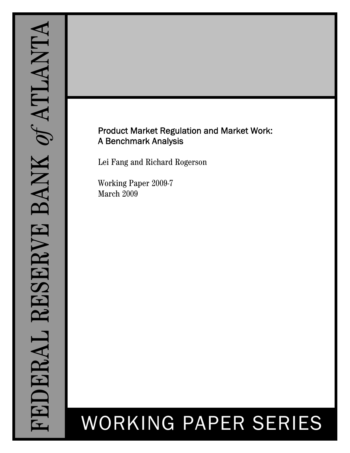# Product Market Regulation and Market Work: A Benchmark Analysis

Lei Fang and Richard Rogerson

Working Paper 2009-7 March 2009

# WORKING PAPER SERIES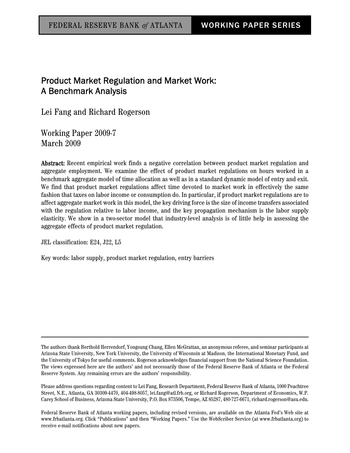# Product Market Regulation and Market Work: A Benchmark Analysis

Lei Fang and Richard Rogerson

Working Paper 2009-7 March 2009

Abstract: Recent empirical work finds a negative correlation between product market regulation and aggregate employment. We examine the effect of product market regulations on hours worked in a benchmark aggregate model of time allocation as well as in a standard dynamic model of entry and exit. We find that product market regulations affect time devoted to market work in effectively the same fashion that taxes on labor income or consumption do. In particular, if product market regulations are to affect aggregate market work in this model, the key driving force is the size of income transfers associated with the regulation relative to labor income, and the key propagation mechanism is the labor supply elasticity. We show in a two-sector model that industry-level analysis is of little help in assessing the aggregate effects of product market regulation.

JEL classification: E24, J22, L5

Key words: labor supply, product market regulation, entry barriers

The authors thank Berthold Herrendorf, Yongsung Chang, Ellen McGrattan, an anonymous referee, and seminar participants at Arizona State University, New York University, the University of Wisconsin at Madison, the International Monetary Fund, and the University of Tokyo for useful comments. Rogerson acknowledges financial support from the National Science Foundation. The views expressed here are the authors' and not necessarily those of the Federal Reserve Bank of Atlanta or the Federal Reserve System. Any remaining errors are the authors' responsibility.

Please address questions regarding content to Lei Fang, Research Department, Federal Reserve Bank of Atlanta, 1000 Peachtree Street, N.E., Atlanta, GA 30309-4470, 404-498-8057, lei.fang@atl.frb.org, or Richard Rogerson, Department of Economics, W.P. Carey School of Business, Arizona State University, P.O. Box 873506, Tempe, AZ 85287, 480-727-6671, richard.rogerson@asu.edu.

Federal Reserve Bank of Atlanta working papers, including revised versions, are available on the Atlanta Fed's Web site at www.frbatlanta.org. Click "Publications" and then "Working Papers." Use the WebScriber Service (at www.frbatlanta.org) to receive e-mail notifications about new papers.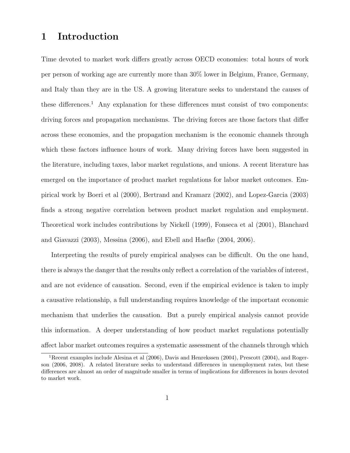# 1 Introduction

Time devoted to market work differs greatly across OECD economies: total hours of work per person of working age are currently more than 30% lower in Belgium, France, Germany, and Italy than they are in the US. A growing literature seeks to understand the causes of these differences.<sup>1</sup> Any explanation for these differences must consist of two components: driving forces and propagation mechanisms. The driving forces are those factors that differ across these economies, and the propagation mechanism is the economic channels through which these factors influence hours of work. Many driving forces have been suggested in the literature, including taxes, labor market regulations, and unions. A recent literature has emerged on the importance of product market regulations for labor market outcomes. Empirical work by Boeri et al (2000), Bertrand and Kramarz (2002), and Lopez-Garcia (2003) finds a strong negative correlation between product market regulation and employment. Theoretical work includes contributions by Nickell (1999), Fonseca et al (2001), Blanchard and Giavazzi (2003), Messina (2006), and Ebell and Haefke (2004, 2006).

Interpreting the results of purely empirical analyses can be difficult. On the one hand, there is always the danger that the results only reflect a correlation of the variables of interest, and are not evidence of causation. Second, even if the empirical evidence is taken to imply a causative relationship, a full understanding requires knowledge of the important economic mechanism that underlies the causation. But a purely empirical analysis cannot provide this information. A deeper understanding of how product market regulations potentially affect labor market outcomes requires a systematic assessment of the channels through which

<sup>1</sup>Recent examples include Alesina et al (2006), Davis and Henrekssen (2004), Prescott (2004), and Rogerson (2006, 2008). A related literature seeks to understand differences in unemployment rates, but these differences are almost an order of magnitude smaller in terms of implications for differences in hours devoted to market work.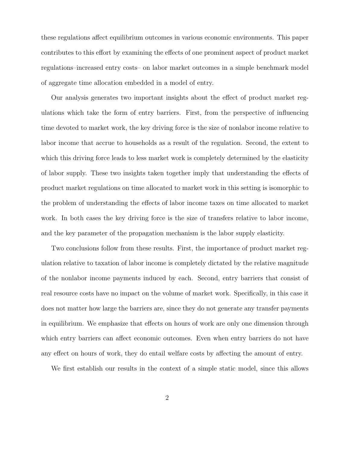these regulations affect equilibrium outcomes in various economic environments. This paper contributes to this effort by examining the effects of one prominent aspect of product market regulations–increased entry costs– on labor market outcomes in a simple benchmark model of aggregate time allocation embedded in a model of entry.

Our analysis generates two important insights about the effect of product market regulations which take the form of entry barriers. First, from the perspective of influencing time devoted to market work, the key driving force is the size of nonlabor income relative to labor income that accrue to households as a result of the regulation. Second, the extent to which this driving force leads to less market work is completely determined by the elasticity of labor supply. These two insights taken together imply that understanding the effects of product market regulations on time allocated to market work in this setting is isomorphic to the problem of understanding the effects of labor income taxes on time allocated to market work. In both cases the key driving force is the size of transfers relative to labor income, and the key parameter of the propagation mechanism is the labor supply elasticity.

Two conclusions follow from these results. First, the importance of product market regulation relative to taxation of labor income is completely dictated by the relative magnitude of the nonlabor income payments induced by each. Second, entry barriers that consist of real resource costs have no impact on the volume of market work. Specifically, in this case it does not matter how large the barriers are, since they do not generate any transfer payments in equilibrium. We emphasize that effects on hours of work are only one dimension through which entry barriers can affect economic outcomes. Even when entry barriers do not have any effect on hours of work, they do entail welfare costs by affecting the amount of entry.

We first establish our results in the context of a simple static model, since this allows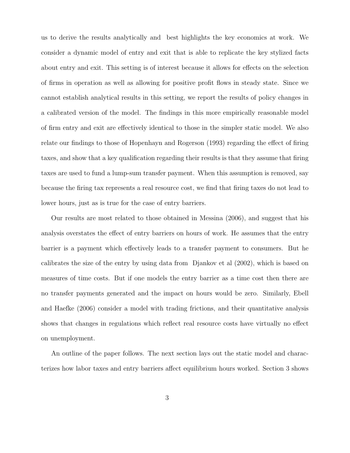us to derive the results analytically and best highlights the key economics at work. We consider a dynamic model of entry and exit that is able to replicate the key stylized facts about entry and exit. This setting is of interest because it allows for effects on the selection of firms in operation as well as allowing for positive profit flows in steady state. Since we cannot establish analytical results in this setting, we report the results of policy changes in a calibrated version of the model. The findings in this more empirically reasonable model of firm entry and exit are effectively identical to those in the simpler static model. We also relate our findings to those of Hopenhayn and Rogerson (1993) regarding the effect of firing taxes, and show that a key qualification regarding their results is that they assume that firing taxes are used to fund a lump-sum transfer payment. When this assumption is removed, say because the firing tax represents a real resource cost, we find that firing taxes do not lead to lower hours, just as is true for the case of entry barriers.

Our results are most related to those obtained in Messina (2006), and suggest that his analysis overstates the effect of entry barriers on hours of work. He assumes that the entry barrier is a payment which effectively leads to a transfer payment to consumers. But he calibrates the size of the entry by using data from Djankov et al (2002), which is based on measures of time costs. But if one models the entry barrier as a time cost then there are no transfer payments generated and the impact on hours would be zero. Similarly, Ebell and Haefke (2006) consider a model with trading frictions, and their quantitative analysis shows that changes in regulations which reflect real resource costs have virtually no effect on unemployment.

An outline of the paper follows. The next section lays out the static model and characterizes how labor taxes and entry barriers affect equilibrium hours worked. Section 3 shows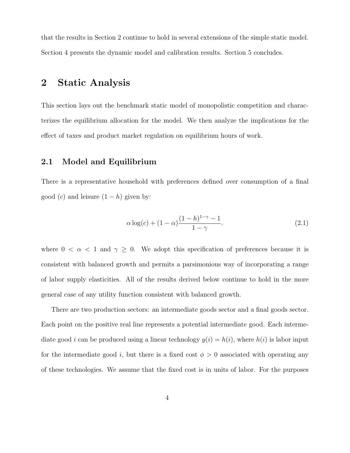that the results in Section 2 continue to hold in several extensions of the simple static model. Section 4 presents the dynamic model and calibration results. Section 5 concludes.

# 2 Static Analysis

This section lays out the benchmark static model of monopolistic competition and characterizes the equilibrium allocation for the model. We then analyze the implications for the effect of taxes and product market regulation on equilibrium hours of work.

# 2.1 Model and Equilibrium

There is a representative household with preferences defined over consumption of a final good  $(c)$  and leisure  $(1-h)$  given by:

$$
\alpha \log(c) + (1 - \alpha) \frac{(1 - h)^{1 - \gamma} - 1}{1 - \gamma}.
$$
\n(2.1)

where  $0 < \alpha < 1$  and  $\gamma \geq 0$ . We adopt this specification of preferences because it is consistent with balanced growth and permits a parsimonious way of incorporating a range of labor supply elasticities. All of the results derived below continue to hold in the more general case of any utility function consistent with balanced growth.

There are two production sectors: an intermediate goods sector and a final goods sector. Each point on the positive real line represents a potential intermediate good. Each intermediate good *i* can be produced using a linear technology  $y(i) = h(i)$ , where  $h(i)$  is labor input for the intermediate good i, but there is a fixed cost  $\phi > 0$  associated with operating any of these technologies. We assume that the fixed cost is in units of labor. For the purposes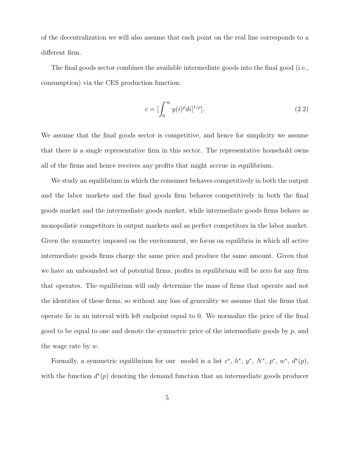of the decentralization we will also assume that each point on the real line corresponds to a different firm.

The final goods sector combines the available intermediate goods into the final good (i.e., consumption) via the CES production function:

$$
c = \left[\int_0^\infty y(i)^{\rho} di\right]^{1/\rho}].
$$
\n(2.2)

We assume that the final goods sector is competitive, and hence for simplicity we assume that there is a single representative firm in this sector. The representative household owns all of the firms and hence receives any profits that might accrue in equilibrium.

We study an equilibrium in which the consumer behaves competitively in both the output and the labor markets and the final goods firm behaves competitively in both the final goods market and the intermediate goods market, while intermediate goods firms behave as monopolistic competitors in output markets and as perfect competitors in the labor market. Given the symmetry imposed on the environment, we focus on equilibria in which all active intermediate goods firms charge the same price and produce the same amount. Given that we have an unbounded set of potential firms, profits in equilibrium will be zero for any firm that operates. The equilibrium will only determine the mass of firms that operate and not the identities of these firms, so without any loss of generality we assume that the firms that operate lie in an interval with left endpoint equal to 0. We normalize the price of the final good to be equal to one and denote the symmetric price of the intermediate goods by  $p$ , and the wage rate by  $w$ .

Formally, a symmetric equilibrium for our model is a list  $c^*, h^*, y^*, N^*, p^*, w^*, d^*(p)$ , with the function  $d^*(p)$  denoting the demand function that an intermediate goods producer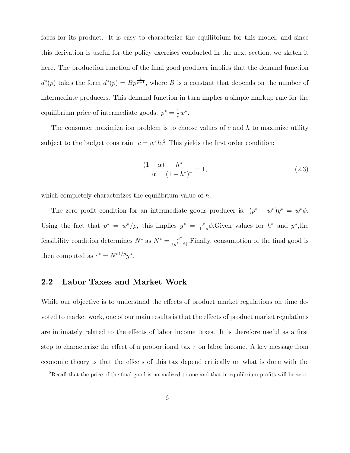faces for its product. It is easy to characterize the equilibrium for this model, and since this derivation is useful for the policy exercises conducted in the next section, we sketch it here. The production function of the final good producer implies that the demand function  $d^{*}(p)$  takes the form  $d^{*}(p) = Bp^{\frac{1}{p-1}}$ , where B is a constant that depends on the number of intermediate producers. This demand function in turn implies a simple markup rule for the equilibrium price of intermediate goods:  $p^* = \frac{1}{q}$  $\frac{1}{\rho}w^*$ .

The consumer maximization problem is to choose values of  $c$  and  $h$  to maximize utility subject to the budget constraint  $c = w^* h$ .<sup>2</sup> This yields the first order condition:

$$
\frac{(1-\alpha)}{\alpha} \frac{h^*}{(1-h^*)^{\gamma}} = 1,
$$
\n(2.3)

which completely characterizes the equilibrium value of h.

The zero profit condition for an intermediate goods producer is:  $(p^* - w^*)y^* = w^*\phi$ . Using the fact that  $p^* = w^*/\rho$ , this implies  $y^* = \frac{\rho}{1-\rho}$  $\frac{\rho}{1-\rho}\phi$ . Given values for  $h^*$  and  $y^*$ , the feasibility condition determines  $N^*$  as  $N^* = \frac{h^*}{(n^* + h)}$  $\frac{h^*}{(y^*+\phi)}$ . Finally, consumption of the final good is then computed as  $c^* = N^{*1/\rho} y^*$ .

## 2.2 Labor Taxes and Market Work

While our objective is to understand the effects of product market regulations on time devoted to market work, one of our main results is that the effects of product market regulations are intimately related to the effects of labor income taxes. It is therefore useful as a first step to characterize the effect of a proportional tax  $\tau$  on labor income. A key message from economic theory is that the effects of this tax depend critically on what is done with the

 ${}^{2}$ Recall that the price of the final good is normalized to one and that in equilibrium profits will be zero.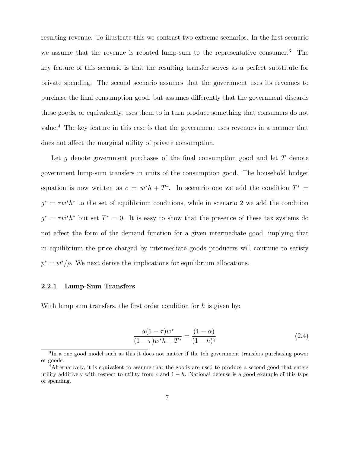resulting revenue. To illustrate this we contrast two extreme scenarios. In the first scenario we assume that the revenue is rebated lump-sum to the representative consumer.<sup>3</sup> The key feature of this scenario is that the resulting transfer serves as a perfect substitute for private spending. The second scenario assumes that the government uses its revenues to purchase the final consumption good, but assumes differently that the government discards these goods, or equivalently, uses them to in turn produce something that consumers do not value.<sup>4</sup> The key feature in this case is that the government uses revenues in a manner that does not affect the marginal utility of private consumption.

Let q denote government purchases of the final consumption good and let  $T$  denote government lump-sum transfers in units of the consumption good. The household budget equation is now written as  $c = w^*h + T^*$ . In scenario one we add the condition  $T^* =$  $g^* = \tau w^* h^*$  to the set of equilibrium conditions, while in scenario 2 we add the condition  $g^* = \tau w^* h^*$  but set  $T^* = 0$ . It is easy to show that the presence of these tax systems do not affect the form of the demand function for a given intermediate good, implying that in equilibrium the price charged by intermediate goods producers will continue to satisfy  $p^* = w^*/\rho$ . We next derive the implications for equilibrium allocations.

#### 2.2.1 Lump-Sum Transfers

With lump sum transfers, the first order condition for  $h$  is given by:

$$
\frac{\alpha(1-\tau)w^*}{(1-\tau)w^*h + T^*} = \frac{(1-\alpha)}{(1-h)^{\gamma}}
$$
\n(2.4)

<sup>&</sup>lt;sup>3</sup>In a one good model such as this it does not matter if the teh government transfers purchasing power or goods.

<sup>4</sup>Alternatively, it is equivalent to assume that the goods are used to produce a second good that enters utility additively with respect to utility from c and  $1 - h$ . National defense is a good example of this type of spending.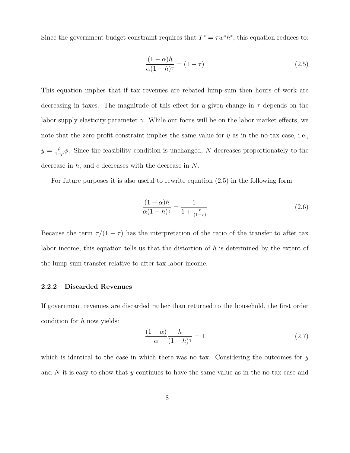Since the government budget constraint requires that  $T^* = \tau w^* h^*$ , this equation reduces to:

$$
\frac{(1-\alpha)h}{\alpha(1-h)^{\gamma}} = (1-\tau)
$$
\n(2.5)

This equation implies that if tax revenues are rebated lump-sum then hours of work are decreasing in taxes. The magnitude of this effect for a given change in  $\tau$  depends on the labor supply elasticity parameter  $\gamma$ . While our focus will be on the labor market effects, we note that the zero profit constraint implies the same value for  $y$  as in the no-tax case, i.e.,  $y=\frac{\rho}{1}$  $\frac{\rho}{1-\rho}\phi$ . Since the feasibility condition is unchanged, N decreases proportionately to the decrease in  $h$ , and  $c$  decreases with the decrease in  $N$ .

For future purposes it is also useful to rewrite equation (2.5) in the following form:

$$
\frac{(1-\alpha)h}{\alpha(1-h)^{\gamma}} = \frac{1}{1+\frac{\tau}{(1-\tau)}}
$$
\n(2.6)

Because the term  $\tau/(1-\tau)$  has the interpretation of the ratio of the transfer to after tax labor income, this equation tells us that the distortion of  $h$  is determined by the extent of the lump-sum transfer relative to after tax labor income.

#### 2.2.2 Discarded Revenues

If government revenues are discarded rather than returned to the household, the first order condition for  $h$  now yields:

$$
\frac{(1-\alpha)}{\alpha} \frac{h}{(1-h)^{\gamma}} = 1
$$
\n(2.7)

which is identical to the case in which there was no tax. Considering the outcomes for  $y$ and  $N$  it is easy to show that  $y$  continues to have the same value as in the no-tax case and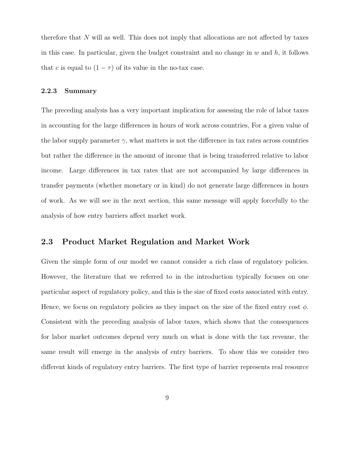therefore that  $N$  will as well. This does not imply that allocations are not affected by taxes in this case. In particular, given the budget constraint and no change in  $w$  and  $h$ , it follows that c is equal to  $(1 - \tau)$  of its value in the no-tax case.

## 2.2.3 Summary

The preceding analysis has a very important implication for assessing the role of labor taxes in accounting for the large differences in hours of work across countries, For a given value of the labor supply parameter  $\gamma$ , what matters is not the difference in tax rates across countries but rather the difference in the amount of income that is being transferred relative to labor income. Large differences in tax rates that are not accompanied by large differences in transfer payments (whether monetary or in kind) do not generate large differences in hours of work. As we will see in the next section, this same message will apply forcefully to the analysis of how entry barriers affect market work.

# 2.3 Product Market Regulation and Market Work

Given the simple form of our model we cannot consider a rich class of regulatory policies. However, the literature that we referred to in the introduction typically focuses on one particular aspect of regulatory policy, and this is the size of fixed costs associated with entry. Hence, we focus on regulatory policies as they impact on the size of the fixed entry cost  $\phi$ . Consistent with the preceding analysis of labor taxes, which shows that the consequences for labor market outcomes depend very much on what is done with the tax revenue, the same result will emerge in the analysis of entry barriers. To show this we consider two different kinds of regulatory entry barriers. The first type of barrier represents real resource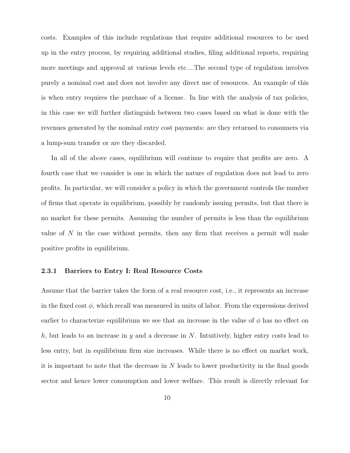costs. Examples of this include regulations that require additional resources to be used up in the entry process, by requiring additional studies, filing additional reports, requiring more meetings and approval at various levels etc....The second type of regulation involves purely a nominal cost and does not involve any direct use of resources. An example of this is when entry requires the purchase of a license. In line with the analysis of tax policies, in this case we will further distinguish between two cases based on what is done with the revenues generated by the nominal entry cost payments: are they returned to consumers via a lump-sum transfer or are they discarded.

In all of the above cases, equilibrium will continue to require that profits are zero. A fourth case that we consider is one in which the nature of regulation does not lead to zero profits. In particular, we will consider a policy in which the government controls the number of firms that operate in equilibrium, possibly by randomly issuing permits, but that there is no market for these permits. Assuming the number of permits is less than the equilibrium value of  $N$  in the case without permits, then any firm that receives a permit will make positive profits in equilibrium.

## 2.3.1 Barriers to Entry I: Real Resource Costs

Assume that the barrier takes the form of a real resource cost, i.e., it represents an increase in the fixed cost  $\phi$ , which recall was measured in units of labor. From the expressions derived earlier to characterize equilibrium we see that an increase in the value of  $\phi$  has no effect on h, but leads to an increase in y and a decrease in N. Intuitively, higher entry costs lead to less entry, but in equilibrium firm size increases. While there is no effect on market work, it is important to note that the decrease in N leads to lower productivity in the final goods sector and hence lower consumption and lower welfare. This result is directly relevant for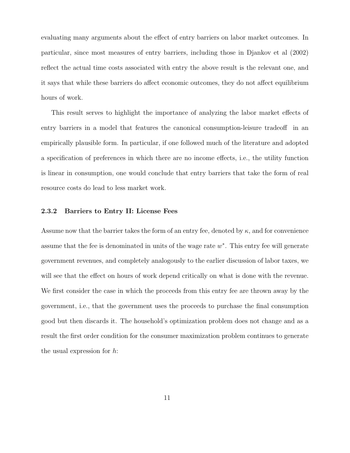evaluating many arguments about the effect of entry barriers on labor market outcomes. In particular, since most measures of entry barriers, including those in Djankov et al (2002) reflect the actual time costs associated with entry the above result is the relevant one, and it says that while these barriers do affect economic outcomes, they do not affect equilibrium hours of work.

This result serves to highlight the importance of analyzing the labor market effects of entry barriers in a model that features the canonical consumption-leisure tradeoff in an empirically plausible form. In particular, if one followed much of the literature and adopted a specification of preferences in which there are no income effects, i.e., the utility function is linear in consumption, one would conclude that entry barriers that take the form of real resource costs do lead to less market work.

#### 2.3.2 Barriers to Entry II: License Fees

Assume now that the barrier takes the form of an entry fee, denoted by  $\kappa$ , and for convenience assume that the fee is denominated in units of the wage rate  $w^*$ . This entry fee will generate government revenues, and completely analogously to the earlier discussion of labor taxes, we will see that the effect on hours of work depend critically on what is done with the revenue. We first consider the case in which the proceeds from this entry fee are thrown away by the government, i.e., that the government uses the proceeds to purchase the final consumption good but then discards it. The household's optimization problem does not change and as a result the first order condition for the consumer maximization problem continues to generate the usual expression for h: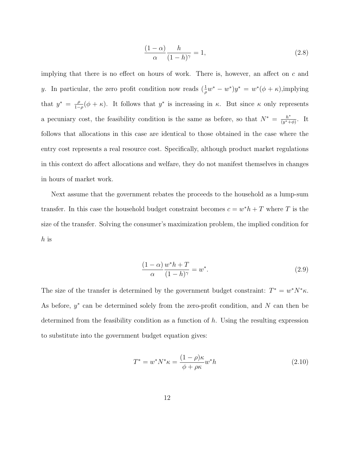$$
\frac{(1-\alpha)}{\alpha} \frac{h}{(1-h)^{\gamma}} = 1,
$$
\n(2.8)

implying that there is no effect on hours of work. There is, however, an affect on  $c$  and y. In particular, the zero profit condition now reads  $(\frac{1}{\rho}w^* - w^*)y^* = w^*(\phi + \kappa)$ , implying that  $y^* = \frac{\rho}{1}$  $\frac{\rho}{1-\rho}(\phi+\kappa)$ . It follows that  $y^*$  is increasing in  $\kappa$ . But since  $\kappa$  only represents a pecuniary cost, the feasibility condition is the same as before, so that  $N^* = \frac{h^*}{(n^* + 1)^*}$  $\frac{h^*}{(y^*+\phi)}$ . It follows that allocations in this case are identical to those obtained in the case where the entry cost represents a real resource cost. Specifically, although product market regulations in this context do affect allocations and welfare, they do not manifest themselves in changes in hours of market work.

Next assume that the government rebates the proceeds to the household as a lump-sum transfer. In this case the household budget constraint becomes  $c = w^*h + T$  where T is the size of the transfer. Solving the consumer's maximization problem, the implied condition for h is

$$
\frac{(1-\alpha)}{\alpha} \frac{w^* h + T}{(1-h)^\gamma} = w^*.
$$
\n(2.9)

The size of the transfer is determined by the government budget constraint:  $T^* = w^* N^* \kappa$ . As before,  $y^*$  can be determined solely from the zero-profit condition, and N can then be determined from the feasibility condition as a function of  $h$ . Using the resulting expression to substitute into the government budget equation gives:

$$
T^* = w^* N^* \kappa = \frac{(1 - \rho)\kappa}{\phi + \rho \kappa} w^* h \tag{2.10}
$$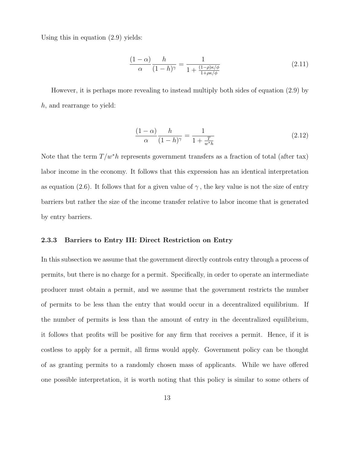Using this in equation (2.9) yields:

$$
\frac{(1-\alpha)}{\alpha} \frac{h}{(1-h)^{\gamma}} = \frac{1}{1 + \frac{(1-\rho)\kappa/\phi}{1+\rho\kappa/\phi}}
$$
(2.11)

However, it is perhaps more revealing to instead multiply both sides of equation (2.9) by h, and rearrange to yield:

$$
\frac{(1-\alpha)}{\alpha} \frac{h}{(1-h)^{\gamma}} = \frac{1}{1+\frac{T}{w^*h}}
$$
\n(2.12)

Note that the term  $T/w^*h$  represents government transfers as a fraction of total (after tax) labor income in the economy. It follows that this expression has an identical interpretation as equation (2.6). It follows that for a given value of  $\gamma$ , the key value is not the size of entry barriers but rather the size of the income transfer relative to labor income that is generated by entry barriers.

#### 2.3.3 Barriers to Entry III: Direct Restriction on Entry

In this subsection we assume that the government directly controls entry through a process of permits, but there is no charge for a permit. Specifically, in order to operate an intermediate producer must obtain a permit, and we assume that the government restricts the number of permits to be less than the entry that would occur in a decentralized equilibrium. If the number of permits is less than the amount of entry in the decentralized equilibrium, it follows that profits will be positive for any firm that receives a permit. Hence, if it is costless to apply for a permit, all firms would apply. Government policy can be thought of as granting permits to a randomly chosen mass of applicants. While we have offered one possible interpretation, it is worth noting that this policy is similar to some others of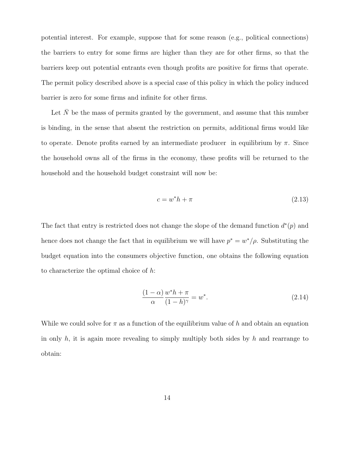potential interest. For example, suppose that for some reason (e.g., political connections) the barriers to entry for some firms are higher than they are for other firms, so that the barriers keep out potential entrants even though profits are positive for firms that operate. The permit policy described above is a special case of this policy in which the policy induced barrier is zero for some firms and infinite for other firms.

Let  $\overline{N}$  be the mass of permits granted by the government, and assume that this number is binding, in the sense that absent the restriction on permits, additional firms would like to operate. Denote profits earned by an intermediate producer in equilibrium by  $\pi$ . Since the household owns all of the firms in the economy, these profits will be returned to the household and the household budget constraint will now be:

$$
c = w^*h + \pi \tag{2.13}
$$

The fact that entry is restricted does not change the slope of the demand function  $d^*(p)$  and hence does not change the fact that in equilibrium we will have  $p^* = w^* / \rho$ . Substituting the budget equation into the consumers objective function, one obtains the following equation to characterize the optimal choice of h:

$$
\frac{(1-\alpha)}{\alpha} \frac{w^* h + \pi}{(1-h)^\gamma} = w^*.
$$
\n(2.14)

While we could solve for  $\pi$  as a function of the equilibrium value of h and obtain an equation in only  $h$ , it is again more revealing to simply multiply both sides by  $h$  and rearrange to obtain: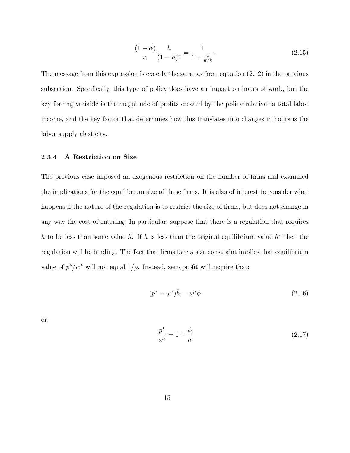$$
\frac{(1-\alpha)}{\alpha} \frac{h}{(1-h)^{\gamma}} = \frac{1}{1+\frac{\pi}{w^*h}}.\tag{2.15}
$$

The message from this expression is exactly the same as from equation  $(2.12)$  in the previous subsection. Specifically, this type of policy does have an impact on hours of work, but the key forcing variable is the magnitude of profits created by the policy relative to total labor income, and the key factor that determines how this translates into changes in hours is the labor supply elasticity.

#### 2.3.4 A Restriction on Size

The previous case imposed an exogenous restriction on the number of firms and examined the implications for the equilibrium size of these firms. It is also of interest to consider what happens if the nature of the regulation is to restrict the size of firms, but does not change in any way the cost of entering. In particular, suppose that there is a regulation that requires h to be less than some value  $\bar{h}$ . If  $\bar{h}$  is less than the original equilibrium value  $h^*$  then the regulation will be binding. The fact that firms face a size constraint implies that equilibrium value of  $p^*/w^*$  will not equal  $1/\rho$ . Instead, zero profit will require that:

$$
(p^* - w^*)\bar{h} = w^*\phi \tag{2.16}
$$

or:

$$
\frac{p^*}{w^*} = 1 + \frac{\phi}{\bar{h}}\tag{2.17}
$$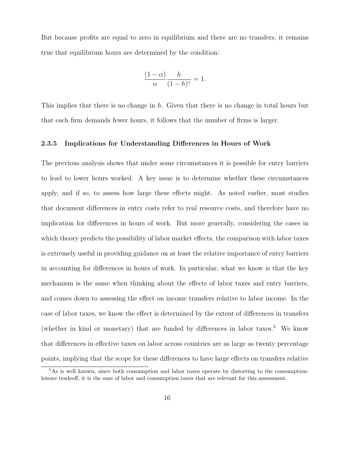But because profits are equal to zero in equilibrium and there are no transfers, it remains true that equilibrium hours are determined by the condition:

$$
\frac{(1-\alpha)}{\alpha} \frac{h}{(1-h)^{\gamma}} = 1.
$$

This implies that there is no change in h. Given that there is no change in total hours but that each firm demands fewer hours, it follows that the number of firms is larger.

#### 2.3.5 Implications for Understanding Differences in Hours of Work

The previous analysis shows that under some circumstances it is possible for entry barriers to lead to lower hours worked. A key issue is to determine whether these circumstances apply, and if so, to assess how large these effects might. As noted earlier, most studies that document differences in entry costs refer to real resource costs, and therefore have no implication for differences in hours of work. But more generally, considering the cases in which theory predicts the possibility of labor market effects, the comparison with labor taxes is extremely useful in providing guidance on at least the relative importance of entry barriers in accounting for differences in hours of work. In particular, what we know is that the key mechanism is the same when thinking about the effects of labor taxes and entry barriers, and comes down to assessing the effect on income transfers relative to labor income. In the case of labor taxes, we know the effect is determined by the extent of differences in transfers (whether in kind or monetary) that are funded by differences in labor taxes.<sup>5</sup> We know that differences in effective taxes on labor across countries are as large as twenty percentage points, implying that the scope for these differences to have large effects on transfers relative

<sup>&</sup>lt;sup>5</sup>As is well known, since both consumption and labor taxes operate by distorting to the consumptionleisure tradeoff, it is the sum of labor and consumption taxes that are relevant for this assessment.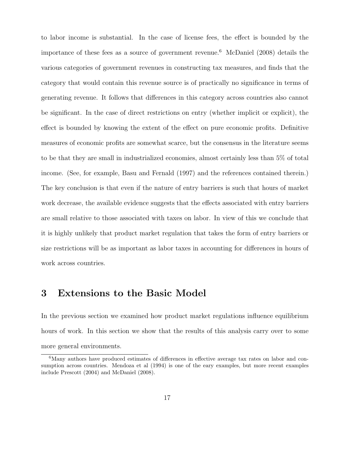to labor income is substantial. In the case of license fees, the effect is bounded by the importance of these fees as a source of government revenue.<sup>6</sup> McDaniel (2008) details the various categories of government revenues in constructing tax measures, and finds that the category that would contain this revenue source is of practically no significance in terms of generating revenue. It follows that differences in this category across countries also cannot be significant. In the case of direct restrictions on entry (whether implicit or explicit), the effect is bounded by knowing the extent of the effect on pure economic profits. Definitive measures of economic profits are somewhat scarce, but the consensus in the literature seems to be that they are small in industrialized economies, almost certainly less than 5% of total income. (See, for example, Basu and Fernald (1997) and the references contained therein.) The key conclusion is that even if the nature of entry barriers is such that hours of market work decrease, the available evidence suggests that the effects associated with entry barriers are small relative to those associated with taxes on labor. In view of this we conclude that it is highly unlikely that product market regulation that takes the form of entry barriers or size restrictions will be as important as labor taxes in accounting for differences in hours of work across countries.

# 3 Extensions to the Basic Model

In the previous section we examined how product market regulations influence equilibrium hours of work. In this section we show that the results of this analysis carry over to some more general environments.

<sup>6</sup>Many authors have produced estimates of differences in effective average tax rates on labor and consumption across countries. Mendoza et al (1994) is one of the eary examples, but more recent examples include Prescott (2004) and McDaniel (2008).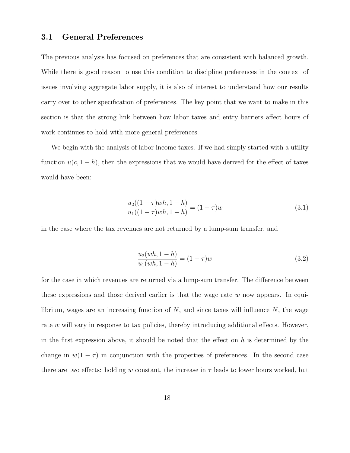# 3.1 General Preferences

The previous analysis has focused on preferences that are consistent with balanced growth. While there is good reason to use this condition to discipline preferences in the context of issues involving aggregate labor supply, it is also of interest to understand how our results carry over to other specification of preferences. The key point that we want to make in this section is that the strong link between how labor taxes and entry barriers affect hours of work continues to hold with more general preferences.

We begin with the analysis of labor income taxes. If we had simply started with a utility function  $u(c, 1-h)$ , then the expressions that we would have derived for the effect of taxes would have been:

$$
\frac{u_2((1-\tau)wh, 1-h)}{u_1((1-\tau)wh, 1-h)} = (1-\tau)w\tag{3.1}
$$

in the case where the tax revenues are not returned by a lump-sum transfer, and

$$
\frac{u_2(wh, 1-h)}{u_1(wh, 1-h)} = (1-\tau)w\tag{3.2}
$$

for the case in which revenues are returned via a lump-sum transfer. The difference between these expressions and those derived earlier is that the wage rate  $w$  now appears. In equilibrium, wages are an increasing function of  $N$ , and since taxes will influence  $N$ , the wage rate w will vary in response to tax policies, thereby introducing additional effects. However, in the first expression above, it should be noted that the effect on  $h$  is determined by the change in  $w(1 - \tau)$  in conjunction with the properties of preferences. In the second case there are two effects: holding w constant, the increase in  $\tau$  leads to lower hours worked, but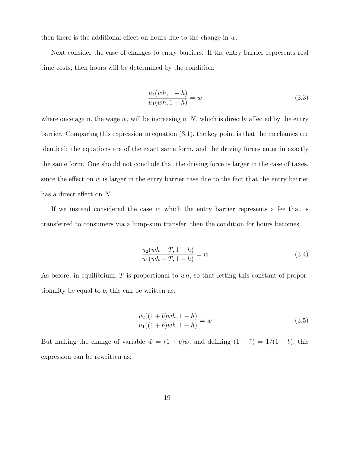then there is the additional effect on hours due to the change in  $w$ .

Next consider the case of changes to entry barriers. If the entry barrier represents real time costs, then hours will be determined by the condition:

$$
\frac{u_2(wh, 1-h)}{u_1(wh, 1-h)} = w \tag{3.3}
$$

where once again, the wage  $w$ , will be increasing in  $N$ , which is directly affected by the entry barrier. Comparing this expression to equation (3.1), the key point is that the mechanics are identical: the equations are of the exact same form, and the driving forces enter in exactly the same form. One should not conclude that the driving force is larger in the case of taxes, since the effect on  $w$  is larger in the entry barrier case due to the fact that the entry barrier has a direct effect on N.

If we instead considered the case in which the entry barrier represents a fee that is transferred to consumers via a lump-sum transfer, then the condition for hours becomes:

$$
\frac{u_2(wh+T, 1-h)}{u_1(wh+T, 1-h)} = w \tag{3.4}
$$

As before, in equilibrium,  $T$  is proportional to  $wh$ , so that letting this constant of proportionality be equal to  $b$ , this can be written as:

$$
\frac{u_2((1+b)wh, 1-h)}{u_1((1+b)wh, 1-h)} = w \tag{3.5}
$$

But making the change of variable  $\tilde{w} = (1 + b)w$ , and defining  $(1 - \tilde{\tau}) = 1/(1 + b)$ , this expression can be rewritten as: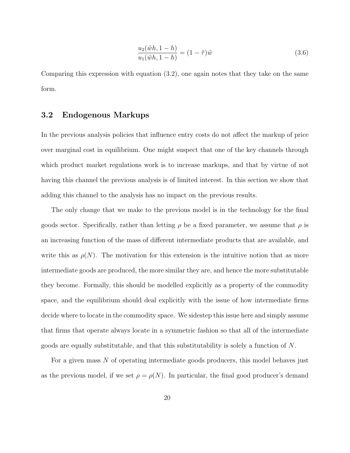$$
\frac{u_2(\tilde{w}h, 1-h)}{u_1(\tilde{w}h, 1-h)} = (1-\tilde{\tau})\tilde{w}
$$
\n(3.6)

Comparing this expression with equation (3.2), one again notes that they take on the same form.

## 3.2 Endogenous Markups

In the previous analysis policies that influence entry costs do not affect the markup of price over marginal cost in equilibrium. One might suspect that one of the key channels through which product market regulations work is to increase markups, and that by virtue of not having this channel the previous analysis is of limited interest. In this section we show that adding this channel to the analysis has no impact on the previous results.

The only change that we make to the previous model is in the technology for the final goods sector. Specifically, rather than letting  $\rho$  be a fixed parameter, we assume that  $\rho$  is an increasing function of the mass of different intermediate products that are available, and write this as  $\rho(N)$ . The motivation for this extension is the intuitive notion that as more intermediate goods are produced, the more similar they are, and hence the more substitutable they become. Formally, this should be modelled explicitly as a property of the commodity space, and the equilibrium should deal explicitly with the issue of how intermediate firms decide where to locate in the commodity space. We sidestep this issue here and simply assume that firms that operate always locate in a symmetric fashion so that all of the intermediate goods are equally substitutable, and that this substitutability is solely a function of N.

For a given mass N of operating intermediate goods producers, this model behaves just as the previous model, if we set  $\rho = \rho(N)$ . In particular, the final good producer's demand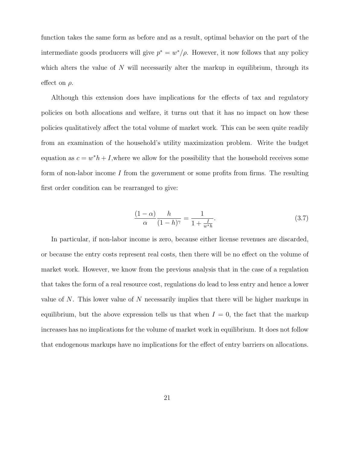function takes the same form as before and as a result, optimal behavior on the part of the intermediate goods producers will give  $p^* = w^*/\rho$ . However, it now follows that any policy which alters the value of  $N$  will necessarily alter the markup in equilibrium, through its effect on  $\rho$ .

Although this extension does have implications for the effects of tax and regulatory policies on both allocations and welfare, it turns out that it has no impact on how these policies qualitatively affect the total volume of market work. This can be seen quite readily from an examination of the household's utility maximization problem. Write the budget equation as  $c = w^*h + I$ , where we allow for the possibility that the household receives some form of non-labor income  $I$  from the government or some profits from firms. The resulting first order condition can be rearranged to give:

$$
\frac{(1-\alpha)}{\alpha} \frac{h}{(1-h)^{\gamma}} = \frac{1}{1+\frac{I}{w^*h}}.\tag{3.7}
$$

In particular, if non-labor income is zero, because either license revenues are discarded, or because the entry costs represent real costs, then there will be no effect on the volume of market work. However, we know from the previous analysis that in the case of a regulation that takes the form of a real resource cost, regulations do lead to less entry and hence a lower value of N. This lower value of N necessarily implies that there will be higher markups in equilibrium, but the above expression tells us that when  $I = 0$ , the fact that the markup increases has no implications for the volume of market work in equilibrium. It does not follow that endogenous markups have no implications for the effect of entry barriers on allocations.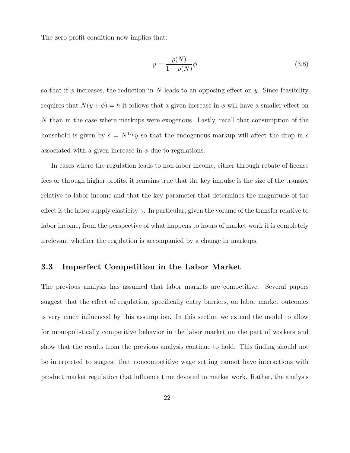The zero profit condition now implies that:

$$
y = \frac{\rho(N)}{1 - \rho(N)}\phi\tag{3.8}
$$

so that if  $\phi$  increases, the reduction in N leads to an opposing effect on y. Since feasibility requires that  $N(y + \phi) = h$  it follows that a given increase in  $\phi$  will have a smaller effect on N than in the case where markups were exogenous. Lastly, recall that consumption of the household is given by  $c = N^{1/\rho}y$  so that the endogenous markup will affect the drop in c associated with a given increase in  $\phi$  due to regulations.

In cases where the regulation leads to non-labor income, either through rebate of license fees or through higher profits, it remains true that the key impulse is the size of the transfer relative to labor income and that the key parameter that determines the magnitude of the effect is the labor supply elasticity  $\gamma$ . In particular, given the volume of the transfer relative to labor income, from the perspective of what happens to hours of market work it is completely irrelevant whether the regulation is accompanied by a change in markups.

## 3.3 Imperfect Competition in the Labor Market

The previous analysis has assumed that labor markets are competitive. Several papers suggest that the effect of regulation, specifically entry barriers, on labor market outcomes is very much influenced by this assumption. In this section we extend the model to allow for monopolistically competitive behavior in the labor market on the part of workers and show that the results from the previous analysis continue to hold. This finding should not be interpreted to suggest that noncompetitive wage setting cannot have interactions with product market regulation that influence time devoted to market work. Rather, the analysis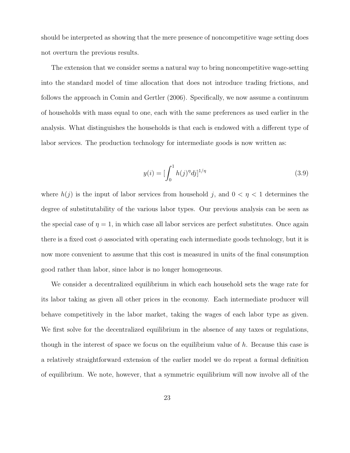should be interpreted as showing that the mere presence of noncompetitive wage setting does not overturn the previous results.

The extension that we consider seems a natural way to bring noncompetitive wage-setting into the standard model of time allocation that does not introduce trading frictions, and follows the approach in Comin and Gertler (2006). Specifically, we now assume a continuum of households with mass equal to one, each with the same preferences as used earlier in the analysis. What distinguishes the households is that each is endowed with a different type of labor services. The production technology for intermediate goods is now written as:

$$
y(i) = \left[\int_0^1 h(j)^{\eta} dj\right]^{1/\eta} \tag{3.9}
$$

where  $h(j)$  is the input of labor services from household j, and  $0 < \eta < 1$  determines the degree of substitutability of the various labor types. Our previous analysis can be seen as the special case of  $\eta = 1$ , in which case all labor services are perfect substitutes. Once again there is a fixed cost  $\phi$  associated with operating each intermediate goods technology, but it is now more convenient to assume that this cost is measured in units of the final consumption good rather than labor, since labor is no longer homogeneous.

We consider a decentralized equilibrium in which each household sets the wage rate for its labor taking as given all other prices in the economy. Each intermediate producer will behave competitively in the labor market, taking the wages of each labor type as given. We first solve for the decentralized equilibrium in the absence of any taxes or regulations, though in the interest of space we focus on the equilibrium value of  $h$ . Because this case is a relatively straightforward extension of the earlier model we do repeat a formal definition of equilibrium. We note, however, that a symmetric equilibrium will now involve all of the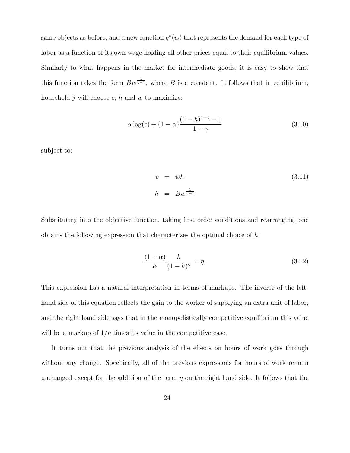same objects as before, and a new function  $g^*(w)$  that represents the demand for each type of labor as a function of its own wage holding all other prices equal to their equilibrium values. Similarly to what happens in the market for intermediate goods, it is easy to show that this function takes the form  $Bw^{\frac{1}{\eta-1}}$ , where B is a constant. It follows that in equilibrium, household  $j$  will choose  $c$ ,  $h$  and  $w$  to maximize:

$$
\alpha \log(c) + (1 - \alpha) \frac{(1 - h)^{1 - \gamma} - 1}{1 - \gamma} \tag{3.10}
$$

subject to:

$$
c = wh
$$
\n
$$
h = Bw^{\frac{1}{\eta - 1}}
$$
\n
$$
(3.11)
$$

Substituting into the objective function, taking first order conditions and rearranging, one obtains the following expression that characterizes the optimal choice of  $h$ :

$$
\frac{(1-\alpha)}{\alpha} \frac{h}{(1-h)^{\gamma}} = \eta.
$$
\n(3.12)

This expression has a natural interpretation in terms of markups. The inverse of the lefthand side of this equation reflects the gain to the worker of supplying an extra unit of labor, and the right hand side says that in the monopolistically competitive equilibrium this value will be a markup of  $1/\eta$  times its value in the competitive case.

It turns out that the previous analysis of the effects on hours of work goes through without any change. Specifically, all of the previous expressions for hours of work remain unchanged except for the addition of the term  $\eta$  on the right hand side. It follows that the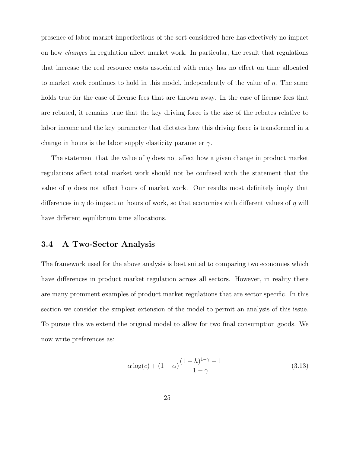presence of labor market imperfections of the sort considered here has effectively no impact on how changes in regulation affect market work. In particular, the result that regulations that increase the real resource costs associated with entry has no effect on time allocated to market work continues to hold in this model, independently of the value of  $\eta$ . The same holds true for the case of license fees that are thrown away. In the case of license fees that are rebated, it remains true that the key driving force is the size of the rebates relative to labor income and the key parameter that dictates how this driving force is transformed in a change in hours is the labor supply elasticity parameter  $\gamma$ .

The statement that the value of  $\eta$  does not affect how a given change in product market regulations affect total market work should not be confused with the statement that the value of  $\eta$  does not affect hours of market work. Our results most definitely imply that differences in  $\eta$  do impact on hours of work, so that economies with different values of  $\eta$  will have different equilibrium time allocations.

## 3.4 A Two-Sector Analysis

The framework used for the above analysis is best suited to comparing two economies which have differences in product market regulation across all sectors. However, in reality there are many prominent examples of product market regulations that are sector specific. In this section we consider the simplest extension of the model to permit an analysis of this issue. To pursue this we extend the original model to allow for two final consumption goods. We now write preferences as:

$$
\alpha \log(c) + (1 - \alpha) \frac{(1 - h)^{1 - \gamma} - 1}{1 - \gamma}
$$
\n(3.13)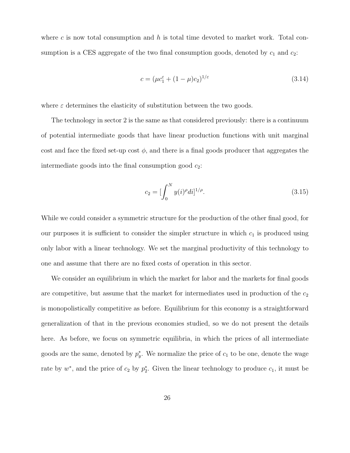where c is now total consumption and h is total time devoted to market work. Total consumption is a CES aggregate of the two final consumption goods, denoted by  $c_1$  and  $c_2$ :

$$
c = (\mu c_1^{\varepsilon} + (1 - \mu)c_2)^{1/\varepsilon}
$$
\n(3.14)

where  $\varepsilon$  determines the elasticity of substitution between the two goods.

The technology in sector 2 is the same as that considered previously: there is a continuum of potential intermediate goods that have linear production functions with unit marginal cost and face the fixed set-up cost  $\phi$ , and there is a final goods producer that aggregates the intermediate goods into the final consumption good  $c_2$ :

$$
c_2 = \left[\int_0^N y(i)^{\rho} di\right]^{1/\rho}.
$$
\n(3.15)

While we could consider a symmetric structure for the production of the other final good, for our purposes it is sufficient to consider the simpler structure in which  $c_1$  is produced using only labor with a linear technology. We set the marginal productivity of this technology to one and assume that there are no fixed costs of operation in this sector.

We consider an equilibrium in which the market for labor and the markets for final goods are competitive, but assume that the market for intermediates used in production of the  $c_2$ is monopolistically competitive as before. Equilibrium for this economy is a straightforward generalization of that in the previous economies studied, so we do not present the details here. As before, we focus on symmetric equilibria, in which the prices of all intermediate goods are the same, denoted by  $p_y^*$ . We normalize the price of  $c_1$  to be one, denote the wage rate by  $w^*$ , and the price of  $c_2$  by  $p_2^*$ . Given the linear technology to produce  $c_1$ , it must be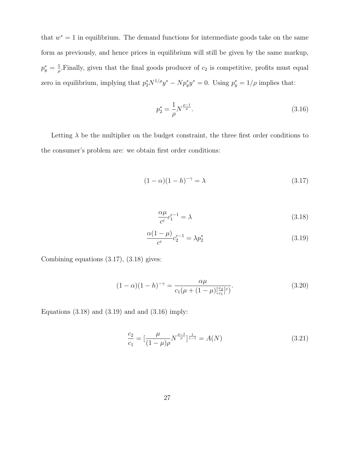that  $w^* = 1$  in equilibrium. The demand functions for intermediate goods take on the same form as previously, and hence prices in equilibrium will still be given by the same markup,  $p_y^*=\frac{1}{\rho}$  $\frac{1}{\rho}$ . Finally, given that the final goods producer of  $c_2$  is competitive, profits must equal zero in equilibrium, implying that  $p_2^* N^{1/\rho} y^* - N p_y^* y^* = 0$ . Using  $p_y^* = 1/\rho$  implies that:

$$
p_2^* = \frac{1}{\rho} N^{\frac{\rho - 1}{\rho}}.
$$
\n(3.16)

Letting  $\lambda$  be the multiplier on the budget constraint, the three first order conditions to the consumer's problem are: we obtain first order conditions:

$$
(1 - \alpha)(1 - h)^{-\gamma} = \lambda \tag{3.17}
$$

$$
\frac{\alpha \mu}{c^{\varepsilon}} c_1^{\varepsilon - 1} = \lambda \tag{3.18}
$$

$$
\frac{\alpha(1-\mu)}{c^{\varepsilon}}c_2^{\varepsilon-1} = \lambda p_2^* \tag{3.19}
$$

Combining equations (3.17), (3.18) gives:

$$
(1 - \alpha)(1 - h)^{-\gamma} = \frac{\alpha\mu}{c_1(\mu + (1 - \mu)[\frac{c_2}{c_1}]^{\varepsilon})}.
$$
\n(3.20)

Equations  $(3.18)$  and  $(3.19)$  and and  $(3.16)$  imply:

$$
\frac{c_2}{c_1} = \left[\frac{\mu}{(1-\mu)\rho} N^{\frac{\rho-1}{\rho}}\right]^{\frac{1}{\varepsilon-1}} = A(N) \tag{3.21}
$$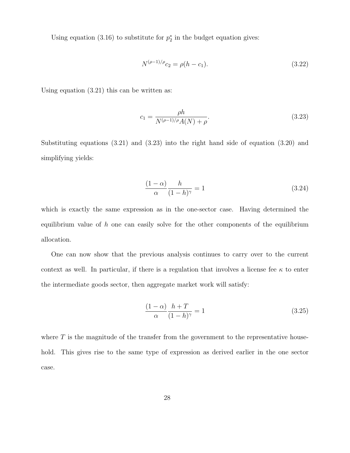Using equation (3.16) to substitute for  $p_2^*$  in the budget equation gives:

$$
N^{(\rho-1)/\rho}c_2 = \rho(h - c_1). \tag{3.22}
$$

Using equation (3.21) this can be written as:

$$
c_1 = \frac{\rho h}{N^{(\rho - 1)/\rho} A(N) + \rho}.
$$
\n(3.23)

Substituting equations (3.21) and (3.23) into the right hand side of equation (3.20) and simplifying yields:

$$
\frac{(1-\alpha)}{\alpha} \frac{h}{(1-h)^{\gamma}} = 1
$$
\n(3.24)

which is exactly the same expression as in the one-sector case. Having determined the equilibrium value of  $h$  one can easily solve for the other components of the equilibrium allocation.

One can now show that the previous analysis continues to carry over to the current context as well. In particular, if there is a regulation that involves a license fee  $\kappa$  to enter the intermediate goods sector, then aggregate market work will satisfy:

$$
\frac{(1-\alpha)}{\alpha} \frac{h+T}{(1-h)^{\gamma}} = 1
$$
\n(3.25)

where  $T$  is the magnitude of the transfer from the government to the representative household. This gives rise to the same type of expression as derived earlier in the one sector case.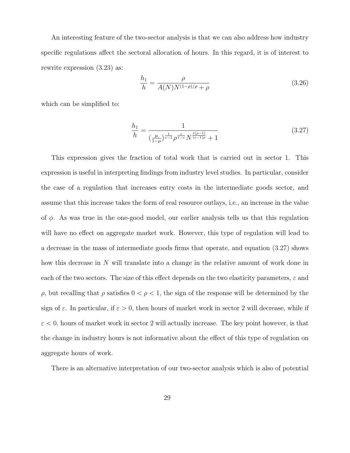An interesting feature of the two-sector analysis is that we can also address how industry specific regulations affect the sectoral allocation of hours. In this regard, it is of interest to rewrite expression (3.23) as:

$$
\frac{h_1}{h} = \frac{\rho}{A(N)N^{(1-\rho)/\rho} + \rho}
$$
\n(3.26)

which can be simplified to:

$$
\frac{h_1}{h} = \frac{1}{\left(\frac{\mu}{1-\mu}\right)^{\frac{1}{\varepsilon-1}} \rho^{\frac{\varepsilon}{1-\varepsilon}} N^{\frac{\varepsilon(\rho-1)}{\varepsilon-1\rho}} + 1} \tag{3.27}
$$

This expression gives the fraction of total work that is carried out in sector 1. This expression is useful in interpreting findings from industry level studies. In particular, consider the case of a regulation that increases entry costs in the intermediate goods sector, and assume that this increase takes the form of real resource outlays, i.e., an increase in the value of  $\phi$ . As was true in the one-good model, our earlier analysis tells us that this regulation will have no effect on aggregate market work. However, this type of regulation will lead to a decrease in the mass of intermediate goods firms that operate, and equation (3.27) shows how this decrease in N will translate into a change in the relative amount of work done in each of the two sectors. The size of this effect depends on the two elasticity parameters,  $\varepsilon$  and ρ, but recalling that ρ satisfies 0 < ρ < 1, the sign of the response will be determined by the sign of  $\varepsilon$ . In particular, if  $\varepsilon > 0$ , then hours of market work in sector 2 will decrease, while if  $\varepsilon$  < 0, hours of market work in sector 2 will actually increase. The key point however, is that the change in industry hours is not informative about the effect of this type of regulation on aggregate hours of work.

There is an alternative interpretation of our two-sector analysis which is also of potential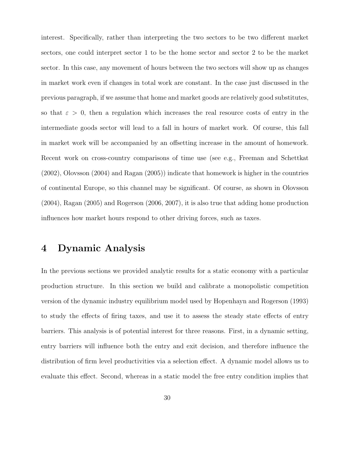interest. Specifically, rather than interpreting the two sectors to be two different market sectors, one could interpret sector 1 to be the home sector and sector 2 to be the market sector. In this case, any movement of hours between the two sectors will show up as changes in market work even if changes in total work are constant. In the case just discussed in the previous paragraph, if we assume that home and market goods are relatively good substitutes, so that  $\varepsilon > 0$ , then a regulation which increases the real resource costs of entry in the intermediate goods sector will lead to a fall in hours of market work. Of course, this fall in market work will be accompanied by an offsetting increase in the amount of homework. Recent work on cross-country comparisons of time use (see e.g., Freeman and Schettkat (2002), Olovsson (2004) and Ragan (2005)) indicate that homework is higher in the countries of continental Europe, so this channel may be significant. Of course, as shown in Olovsson (2004), Ragan (2005) and Rogerson (2006, 2007), it is also true that adding home production influences how market hours respond to other driving forces, such as taxes.

# 4 Dynamic Analysis

In the previous sections we provided analytic results for a static economy with a particular production structure. In this section we build and calibrate a monopolistic competition version of the dynamic industry equilibrium model used by Hopenhayn and Rogerson (1993) to study the effects of firing taxes, and use it to assess the steady state effects of entry barriers. This analysis is of potential interest for three reasons. First, in a dynamic setting, entry barriers will influence both the entry and exit decision, and therefore influence the distribution of firm level productivities via a selection effect. A dynamic model allows us to evaluate this effect. Second, whereas in a static model the free entry condition implies that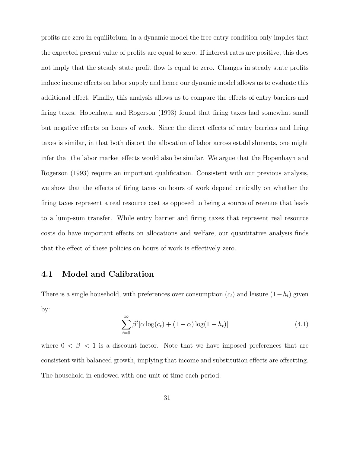profits are zero in equilibrium, in a dynamic model the free entry condition only implies that the expected present value of profits are equal to zero. If interest rates are positive, this does not imply that the steady state profit flow is equal to zero. Changes in steady state profits induce income effects on labor supply and hence our dynamic model allows us to evaluate this additional effect. Finally, this analysis allows us to compare the effects of entry barriers and firing taxes. Hopenhayn and Rogerson (1993) found that firing taxes had somewhat small but negative effects on hours of work. Since the direct effects of entry barriers and firing taxes is similar, in that both distort the allocation of labor across establishments, one might infer that the labor market effects would also be similar. We argue that the Hopenhayn and Rogerson (1993) require an important qualification. Consistent with our previous analysis, we show that the effects of firing taxes on hours of work depend critically on whether the firing taxes represent a real resource cost as opposed to being a source of revenue that leads to a lump-sum transfer. While entry barrier and firing taxes that represent real resource costs do have important effects on allocations and welfare, our quantitative analysis finds that the effect of these policies on hours of work is effectively zero.

## 4.1 Model and Calibration

There is a single household, with preferences over consumption  $(c_t)$  and leisure  $(1-h_t)$  given by:

$$
\sum_{t=0}^{\infty} \beta^t [\alpha \log(c_t) + (1 - \alpha) \log(1 - h_t)] \tag{4.1}
$$

where  $0 < \beta < 1$  is a discount factor. Note that we have imposed preferences that are consistent with balanced growth, implying that income and substitution effects are offsetting. The household in endowed with one unit of time each period.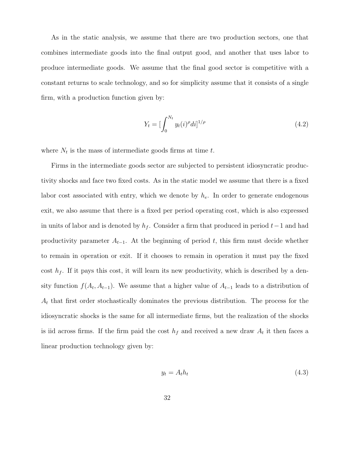As in the static analysis, we assume that there are two production sectors, one that combines intermediate goods into the final output good, and another that uses labor to produce intermediate goods. We assume that the final good sector is competitive with a constant returns to scale technology, and so for simplicity assume that it consists of a single firm, with a production function given by:

$$
Y_t = \left[\int_0^{N_t} y_t(i)^{\rho} di\right]^{1/\rho} \tag{4.2}
$$

where  $N_t$  is the mass of intermediate goods firms at time t.

Firms in the intermediate goods sector are subjected to persistent idiosyncratic productivity shocks and face two fixed costs. As in the static model we assume that there is a fixed labor cost associated with entry, which we denote by  $h_e$ . In order to generate endogenous exit, we also assume that there is a fixed per period operating cost, which is also expressed in units of labor and is denoted by  $h_f$ . Consider a firm that produced in period  $t-1$  and had productivity parameter  $A_{t-1}$ . At the beginning of period t, this firm must decide whether to remain in operation or exit. If it chooses to remain in operation it must pay the fixed cost  $h_f$ . If it pays this cost, it will learn its new productivity, which is described by a density function  $f(A_t, A_{t-1})$ . We assume that a higher value of  $A_{t-1}$  leads to a distribution of  $A_t$  that first order stochastically dominates the previous distribution. The process for the idiosyncratic shocks is the same for all intermediate firms, but the realization of the shocks is iid across firms. If the firm paid the cost  $h_f$  and received a new draw  $A_t$  it then faces a linear production technology given by:

$$
y_t = A_t h_t \tag{4.3}
$$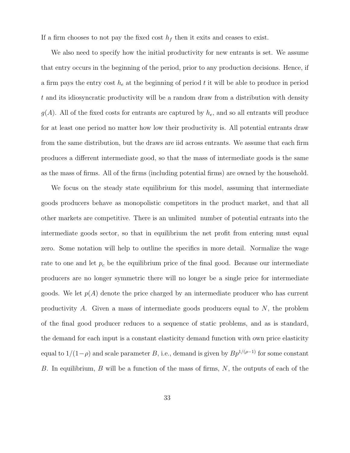If a firm chooses to not pay the fixed cost  $h_f$  then it exits and ceases to exist.

We also need to specify how the initial productivity for new entrants is set. We assume that entry occurs in the beginning of the period, prior to any production decisions. Hence, if a firm pays the entry cost  $h_e$  at the beginning of period t it will be able to produce in period t and its idiosyncratic productivity will be a random draw from a distribution with density  $g(A)$ . All of the fixed costs for entrants are captured by  $h_e$ , and so all entrants will produce for at least one period no matter how low their productivity is. All potential entrants draw from the same distribution, but the draws are iid across entrants. We assume that each firm produces a different intermediate good, so that the mass of intermediate goods is the same as the mass of firms. All of the firms (including potential firms) are owned by the household.

We focus on the steady state equilibrium for this model, assuming that intermediate goods producers behave as monopolistic competitors in the product market, and that all other markets are competitive. There is an unlimited number of potential entrants into the intermediate goods sector, so that in equilibrium the net profit from entering must equal zero. Some notation will help to outline the specifics in more detail. Normalize the wage rate to one and let  $p_c$  be the equilibrium price of the final good. Because our intermediate producers are no longer symmetric there will no longer be a single price for intermediate goods. We let  $p(A)$  denote the price charged by an intermediate producer who has current productivity A. Given a mass of intermediate goods producers equal to  $N$ , the problem of the final good producer reduces to a sequence of static problems, and as is standard, the demand for each input is a constant elasticity demand function with own price elasticity equal to  $1/(1-\rho)$  and scale parameter B, i.e., demand is given by  $Bp^{1/(\rho-1)}$  for some constant B. In equilibrium, B will be a function of the mass of firms,  $N$ , the outputs of each of the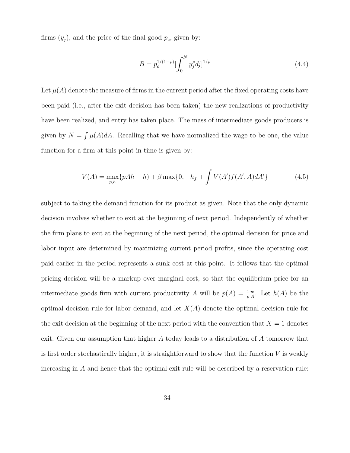firms  $(y_j)$ , and the price of the final good  $p_c$ , given by:

$$
B = p_c^{1/(1-\rho)} \left[ \int_0^N y_j^{\rho} dj \right]^{1/\rho} \tag{4.4}
$$

Let  $\mu(A)$  denote the measure of firms in the current period after the fixed operating costs have been paid (i.e., after the exit decision has been taken) the new realizations of productivity have been realized, and entry has taken place. The mass of intermediate goods producers is given by  $N = \int \mu(A) dA$ . Recalling that we have normalized the wage to be one, the value function for a firm at this point in time is given by:

$$
V(A) = \max_{p,h} \{pAh - h\} + \beta \max\{0, -h_f + \int V(A')f(A', A)dA'\}
$$
 (4.5)

subject to taking the demand function for its product as given. Note that the only dynamic decision involves whether to exit at the beginning of next period. Independently of whether the firm plans to exit at the beginning of the next period, the optimal decision for price and labor input are determined by maximizing current period profits, since the operating cost paid earlier in the period represents a sunk cost at this point. It follows that the optimal pricing decision will be a markup over marginal cost, so that the equilibrium price for an intermediate goods firm with current productivity A will be  $p(A) = \frac{1}{\rho}$ w  $\frac{w}{A}$ . Let  $h(A)$  be the optimal decision rule for labor demand, and let  $X(A)$  denote the optimal decision rule for the exit decision at the beginning of the next period with the convention that  $X = 1$  denotes exit. Given our assumption that higher A today leads to a distribution of A tomorrow that is first order stochastically higher, it is straightforward to show that the function  $V$  is weakly increasing in A and hence that the optimal exit rule will be described by a reservation rule: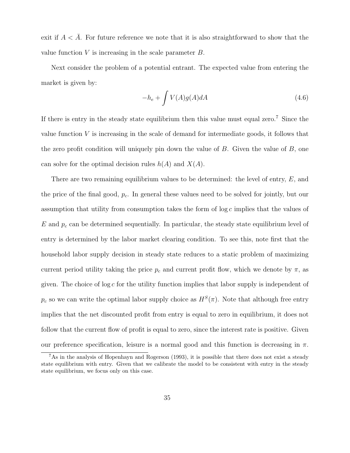exit if  $A < A$ . For future reference we note that it is also straightforward to show that the value function  $V$  is increasing in the scale parameter  $B$ .

Next consider the problem of a potential entrant. The expected value from entering the market is given by:

$$
-h_e + \int V(A)g(A)dA \tag{4.6}
$$

If there is entry in the steady state equilibrium then this value must equal zero.<sup>7</sup> Since the value function  $V$  is increasing in the scale of demand for intermediate goods, it follows that the zero profit condition will uniquely pin down the value of  $B$ . Given the value of  $B$ , one can solve for the optimal decision rules  $h(A)$  and  $X(A)$ .

There are two remaining equilibrium values to be determined: the level of entry,  $E$ , and the price of the final good,  $p_c$ . In general these values need to be solved for jointly, but our assumption that utility from consumption takes the form of  $\log c$  implies that the values of  $E$  and  $p_c$  can be determined sequentially. In particular, the steady state equilibrium level of entry is determined by the labor market clearing condition. To see this, note first that the household labor supply decision in steady state reduces to a static problem of maximizing current period utility taking the price  $p_c$  and current profit flow, which we denote by  $\pi$ , as given. The choice of  $\log c$  for the utility function implies that labor supply is independent of  $p_c$  so we can write the optimal labor supply choice as  $H^S(\pi)$ . Note that although free entry implies that the net discounted profit from entry is equal to zero in equilibrium, it does not follow that the current flow of profit is equal to zero, since the interest rate is positive. Given our preference specification, leisure is a normal good and this function is decreasing in  $\pi$ .

<sup>7</sup>As in the analysis of Hopenhayn and Rogerson (1993), it is possible that there does not exist a steady state equilibrium with entry. Given that we calibrate the model to be consistent with entry in the steady state equilibrium, we focus only on this case.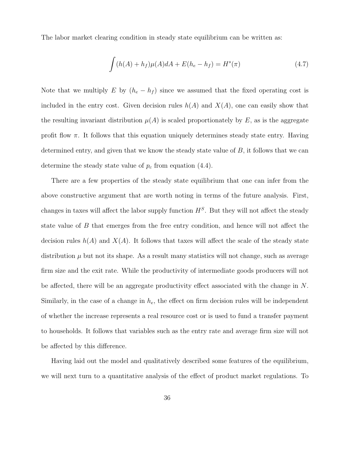The labor market clearing condition in steady state equilibrium can be written as:

$$
\int (h(A) + h_f)\mu(A)dA + E(h_e - h_f) = H^s(\pi)
$$
\n(4.7)

Note that we multiply E by  $(h_e - h_f)$  since we assumed that the fixed operating cost is included in the entry cost. Given decision rules  $h(A)$  and  $X(A)$ , one can easily show that the resulting invariant distribution  $\mu(A)$  is scaled proportionately by E, as is the aggregate profit flow  $\pi$ . It follows that this equation uniquely determines steady state entry. Having determined entry, and given that we know the steady state value of B, it follows that we can determine the steady state value of  $p_c$  from equation (4.4).

There are a few properties of the steady state equilibrium that one can infer from the above constructive argument that are worth noting in terms of the future analysis. First, changes in taxes will affect the labor supply function  $H<sup>S</sup>$ . But they will not affect the steady state value of B that emerges from the free entry condition, and hence will not affect the decision rules  $h(A)$  and  $X(A)$ . It follows that taxes will affect the scale of the steady state distribution  $\mu$  but not its shape. As a result many statistics will not change, such as average firm size and the exit rate. While the productivity of intermediate goods producers will not be affected, there will be an aggregate productivity effect associated with the change in N. Similarly, in the case of a change in  $h_e$ , the effect on firm decision rules will be independent of whether the increase represents a real resource cost or is used to fund a transfer payment to households. It follows that variables such as the entry rate and average firm size will not be affected by this difference.

Having laid out the model and qualitatively described some features of the equilibrium, we will next turn to a quantitative analysis of the effect of product market regulations. To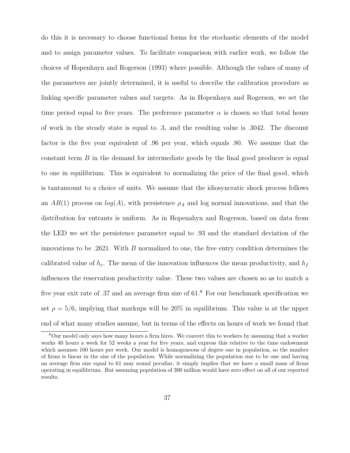do this it is necessary to choose functional forms for the stochastic elements of the model and to assign parameter values. To facilitate comparison with earlier work, we follow the choices of Hopenhayn and Rogerson (1993) where possible. Although the values of many of the parameters are jointly determined, it is useful to describe the calibration procedure as linking specific parameter values and targets. As in Hopenhayn and Rogerson, we set the time period equal to five years. The preference parameter  $\alpha$  is chosen so that total hours of work in the steady state is equal to .3, and the resulting value is .3042. The discount factor is the five year equivalent of .96 per year, which equals .80. We assume that the constant term B in the demand for intermediate goods by the final good producer is equal to one in equilibrium. This is equivalent to normalizing the price of the final good, which is tantamount to a choice of units. We assume that the idiosyncratic shock process follows an  $AR(1)$  process on  $log(A)$ , with persistence  $\rho_A$  and log normal innovations, and that the distribution for entrants is uniform. As in Hopenahyn and Rogerson, based on data from the LED we set the persistence parameter equal to .93 and the standard deviation of the innovations to be .2621. With  $B$  normalized to one, the free entry condition determines the calibrated value of  $h_e$ . The mean of the innovation influences the mean productivity, and  $h_f$ influences the reservation productivity value. These two values are chosen so as to match a five year exit rate of .37 and an average firm size of 61.<sup>8</sup> For our benchmark specification we set  $\rho = 5/6$ , implying that markups will be 20% in equilibrium. This value is at the upper end of what many studies assume, but in terms of the effects on hours of work we found that

<sup>8</sup>Our model only says how many hours a firm hires. We convert this to workers by assuming that a worker works 40 hours a week for 52 weeks a year for five years, and express this relative to the time endowment which assumes 100 hours per week. Our model is homogeneous of degree one in population, so the number of firms is linear in the size of the population. While normalizing the population size to be one and having an average firm size equal to 61 may sound peculiar, it simply implies that we have a small mass of firms operating in equilibrium. But assuming population of 300 million would have zero effect on all of our reported results.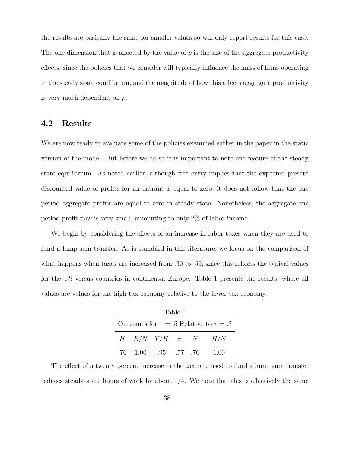the results are basically the same for smaller values so will only report results for this case. The one dimension that is affected by the value of  $\rho$  is the size of the aggregate productivity effects, since the policies that we consider will typically influence the mass of firms operating in the steady state equilibrium, and the magnitude of how this affects aggregate productivity is very much dependent on  $\rho$ .

# 4.2 Results

We are now ready to evaluate some of the policies examined earlier in the paper in the static version of the model. But before we do so it is important to note one feature of the steady state equilibrium. As noted earlier, although free entry implies that the expected present discounted value of profits for an entrant is equal to zero, it does not follow that the one period aggregate profits are equal to zero in steady state. Nonetheless, the aggregate one period profit flow is very small, amounting to only 2% of labor income.

We begin by considering the effects of an increase in labor taxes when they are used to fund a lump-sum transfer. As is standard in this literature, we focus on the comparison of what happens when taxes are increased from .30 to .50, since this reflects the typical values for the US versus countries in continental Europe. Table 1 presents the results, where all values are values for the high tax economy relative to the lower tax economy.

| Table 1                                          |                                  |  |  |  |                               |  |  |  |  |
|--------------------------------------------------|----------------------------------|--|--|--|-------------------------------|--|--|--|--|
| Outcomes for $\tau = .5$ Relative to $\tau = .3$ |                                  |  |  |  |                               |  |  |  |  |
|                                                  |                                  |  |  |  | H $E/N$ $Y/H$ $\pi$ $N$ $H/N$ |  |  |  |  |
|                                                  | .76    1.00    .95    .77    .76 |  |  |  | $-1.00$                       |  |  |  |  |

The effect of a twenty percent increase in the tax rate used to fund a lump sum transfer reduces steady state hours of work by about  $1/4$ . We note that this is effectively the same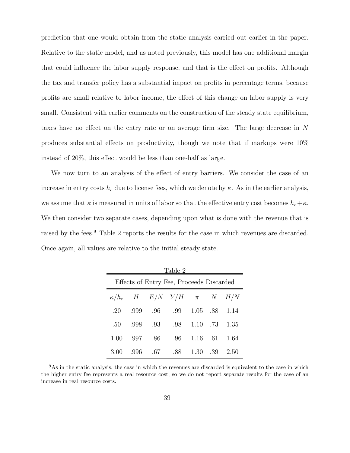prediction that one would obtain from the static analysis carried out earlier in the paper. Relative to the static model, and as noted previously, this model has one additional margin that could influence the labor supply response, and that is the effect on profits. Although the tax and transfer policy has a substantial impact on profits in percentage terms, because profits are small relative to labor income, the effect of this change on labor supply is very small. Consistent with earlier comments on the construction of the steady state equilibrium, taxes have no effect on the entry rate or on average firm size. The large decrease in N produces substantial effects on productivity, though we note that if markups were 10% instead of 20%, this effect would be less than one-half as large.

We now turn to an analysis of the effect of entry barriers. We consider the case of an increase in entry costs  $h_e$  due to license fees, which we denote by  $\kappa$ . As in the earlier analysis, we assume that  $\kappa$  is measured in units of labor so that the effective entry cost becomes  $h_e+\kappa$ . We then consider two separate cases, depending upon what is done with the revenue that is raised by the fees.<sup>9</sup> Table 2 reports the results for the case in which revenues are discarded. Once again, all values are relative to the initial steady state.

| Table 2                                  |       |         |                                          |  |  |               |  |  |  |
|------------------------------------------|-------|---------|------------------------------------------|--|--|---------------|--|--|--|
| Effects of Entry Fee, Proceeds Discarded |       |         |                                          |  |  |               |  |  |  |
|                                          |       |         | $\kappa/h_e$ H $E/N$ $Y/H$ $\pi$ N $H/N$ |  |  |               |  |  |  |
|                                          |       |         | .20 .999 .96 .99 1.05 .88 1.14           |  |  |               |  |  |  |
|                                          |       |         | .50 .998 .93 .98 1.10 .73 1.35           |  |  |               |  |  |  |
|                                          |       |         | 1.00 .997 .86 .96 1.16 .61 1.64          |  |  |               |  |  |  |
| 3.00                                     | - 996 | .67 .88 |                                          |  |  | 1.30 .39 2.50 |  |  |  |

<sup>&</sup>lt;sup>9</sup>As in the static analysis, the case in which the revenues are discarded is equivalent to the case in which the higher entry fee represents a real resource cost, so we do not report separate results for the case of an increase in real resource costs.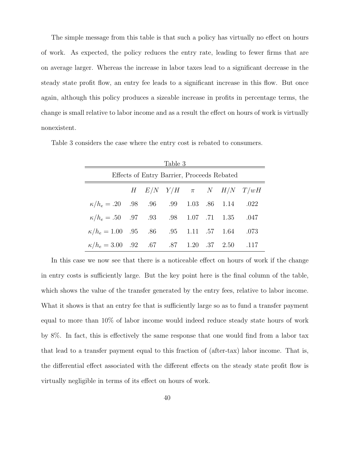The simple message from this table is that such a policy has virtually no effect on hours of work. As expected, the policy reduces the entry rate, leading to fewer firms that are on average larger. Whereas the increase in labor taxes lead to a significant decrease in the steady state profit flow, an entry fee leads to a significant increase in this flow. But once again, although this policy produces a sizeable increase in profits in percentage terms, the change is small relative to labor income and as a result the effect on hours of work is virtually nonexistent.

Table 3 considers the case where the entry cost is rebated to consumers.

| Table 3                                            |                                        |  |  |  |  |  |  |  |  |
|----------------------------------------------------|----------------------------------------|--|--|--|--|--|--|--|--|
| Effects of Entry Barrier, Proceeds Rebated         |                                        |  |  |  |  |  |  |  |  |
|                                                    | $H$ $E/N$ $Y/H$ $\pi$ $N$ $H/N$ $T/wH$ |  |  |  |  |  |  |  |  |
| $\kappa/h_e = .20$ .98 .96 .99 1.03 .86 1.14 .022  |                                        |  |  |  |  |  |  |  |  |
| $\kappa/h_e = .50$ .97 .93 .98 1.07 .71 1.35 .047  |                                        |  |  |  |  |  |  |  |  |
| $\kappa/h_e = 1.00$ .95 .86 .95 1.11 .57 1.64 .073 |                                        |  |  |  |  |  |  |  |  |
| $\kappa/h_e = 3.00$ .92 .67 .87 1.20 .37 2.50 .117 |                                        |  |  |  |  |  |  |  |  |

In this case we now see that there is a noticeable effect on hours of work if the change in entry costs is sufficiently large. But the key point here is the final column of the table, which shows the value of the transfer generated by the entry fees, relative to labor income. What it shows is that an entry fee that is sufficiently large so as to fund a transfer payment equal to more than 10% of labor income would indeed reduce steady state hours of work by 8%. In fact, this is effectively the same response that one would find from a labor tax that lead to a transfer payment equal to this fraction of (after-tax) labor income. That is, the differential effect associated with the different effects on the steady state profit flow is virtually negligible in terms of its effect on hours of work.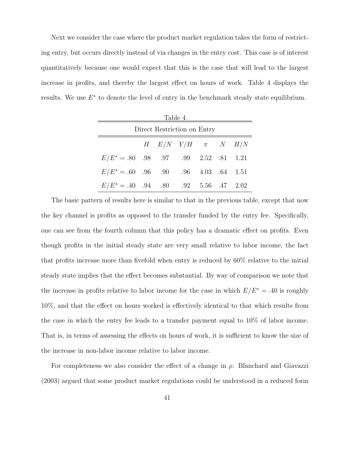Next we consider the case where the product market regulation takes the form of restricting entry, but occurs directly instead of via changes in the entry cost. This case is of interest quantitatively because one would expect that this is the case that will lead to the largest increase in profits, and thereby the largest effect on hours of work. Table 4 displays the results. We use  $E^*$  to denote the level of entry in the benchmark steady state equilibrium.

| Table 4                                 |  |  |  |  |  |  |  |  |  |
|-----------------------------------------|--|--|--|--|--|--|--|--|--|
| Direct Restriction on Entry             |  |  |  |  |  |  |  |  |  |
| H $E/N$ $Y/H$ $\pi$ $N$ $H/N$           |  |  |  |  |  |  |  |  |  |
| $E/E^* = .80$ .98 .97 .99 2.52 .81 1.21 |  |  |  |  |  |  |  |  |  |
| $E/E^* = .60$ .96 .90 .96 4.03 .64 1.51 |  |  |  |  |  |  |  |  |  |
| $E/E^* = .40$ .94 .80 .92 5.56 .47 2.02 |  |  |  |  |  |  |  |  |  |

The basic pattern of results here is similar to that in the previous table, except that now the key channel is profits as opposed to the transfer funded by the entry fee. Specifically, one can see from the fourth column that this policy has a dramatic effect on profits. Even though profits in the initial steady state are very small relative to labor income, the fact that profits increase more than fivefold when entry is reduced by 60% relative to the initial steady state implies that the effect becomes substantial. By way of comparison we note that the increase in profits relative to labor income for the case in which  $E/E^* = .40$  is roughly 10%, and that the effect on hours worked is effectively identical to that which results from the case in which the entry fee leads to a transfer payment equal to 10% of labor income. That is, in terms of assessing the effects on hours of work, it is sufficient to know the size of the increase in non-labor income relative to labor income.

For completeness we also consider the effect of a change in  $\rho$ . Blanchard and Giavazzi (2003) argued that some product market regulations could be understood in a reduced form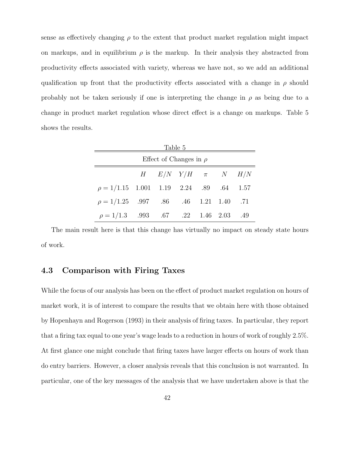sense as effectively changing  $\rho$  to the extent that product market regulation might impact on markups, and in equilibrium  $\rho$  is the markup. In their analysis they abstracted from productivity effects associated with variety, whereas we have not, so we add an additional qualification up front that the productivity effects associated with a change in  $\rho$  should probably not be taken seriously if one is interpreting the change in  $\rho$  as being due to a change in product market regulation whose direct effect is a change on markups. Table 5 shows the results.

| Table 5                                      |  |  |  |  |  |  |  |  |  |
|----------------------------------------------|--|--|--|--|--|--|--|--|--|
| Effect of Changes in $\rho$                  |  |  |  |  |  |  |  |  |  |
| $H$ $E/N$ $Y/H$ $\pi$ $N$ $H/N$              |  |  |  |  |  |  |  |  |  |
| $\rho = 1/1.15$ 1.001 1.19 2.24 .89 .64 1.57 |  |  |  |  |  |  |  |  |  |
| $\rho = 1/1.25$ .997 .86 .46 1.21 1.40 .71   |  |  |  |  |  |  |  |  |  |
| $\rho = 1/1.3$ .993 .67 .22 1.46 2.03 .49    |  |  |  |  |  |  |  |  |  |

The main result here is that this change has virtually no impact on steady state hours of work.

# 4.3 Comparison with Firing Taxes

While the focus of our analysis has been on the effect of product market regulation on hours of market work, it is of interest to compare the results that we obtain here with those obtained by Hopenhayn and Rogerson (1993) in their analysis of firing taxes. In particular, they report that a firing tax equal to one year's wage leads to a reduction in hours of work of roughly 2.5%. At first glance one might conclude that firing taxes have larger effects on hours of work than do entry barriers. However, a closer analysis reveals that this conclusion is not warranted. In particular, one of the key messages of the analysis that we have undertaken above is that the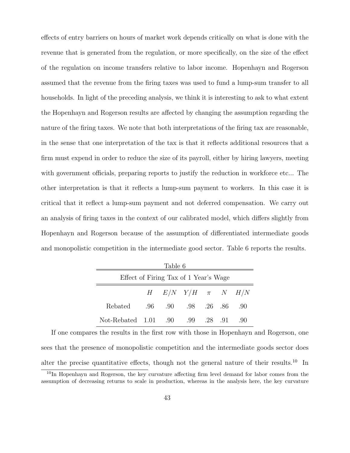effects of entry barriers on hours of market work depends critically on what is done with the revenue that is generated from the regulation, or more specifically, on the size of the effect of the regulation on income transfers relative to labor income. Hopenhayn and Rogerson assumed that the revenue from the firing taxes was used to fund a lump-sum transfer to all households. In light of the preceding analysis, we think it is interesting to ask to what extent the Hopenhayn and Rogerson results are affected by changing the assumption regarding the nature of the firing taxes. We note that both interpretations of the firing tax are reasonable, in the sense that one interpretation of the tax is that it reflects additional resources that a firm must expend in order to reduce the size of its payroll, either by hiring lawyers, meeting with government officials, preparing reports to justify the reduction in workforce etc... The other interpretation is that it reflects a lump-sum payment to workers. In this case it is critical that it reflect a lump-sum payment and not deferred compensation. We carry out an analysis of firing taxes in the context of our calibrated model, which differs slightly from Hopenhayn and Rogerson because of the assumption of differentiated intermediate goods and monopolistic competition in the intermediate good sector. Table 6 reports the results.

| Table 6                               |  |  |                     |  |  |     |  |  |
|---------------------------------------|--|--|---------------------|--|--|-----|--|--|
| Effect of Firing Tax of 1 Year's Wage |  |  |                     |  |  |     |  |  |
| $H$ $E/N$ $Y/H$ $\pi$ $N$ $H/N$       |  |  |                     |  |  |     |  |  |
| Rebated                               |  |  | .96 .90 .98 .26 .86 |  |  | .90 |  |  |
| Not-Rebated 1.01 .90                  |  |  | 99 28 91            |  |  | -90 |  |  |

If one compares the results in the first row with those in Hopenhayn and Rogerson, one sees that the presence of monopolistic competition and the intermediate goods sector does alter the precise quantitative effects, though not the general nature of their results.<sup>10</sup> In

 $10$ In Hopenhayn and Rogerson, the key curvature affecting firm level demand for labor comes from the assumption of decreasing returns to scale in production, whereas in the analysis here, the key curvature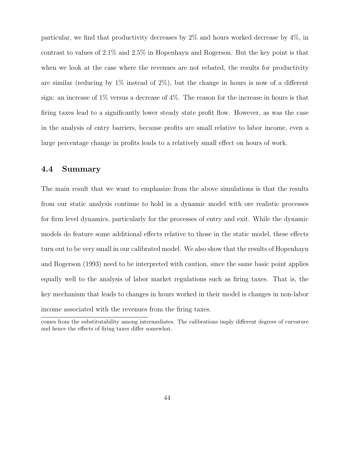particular, we find that productivity decreases by 2% and hours worked decrease by 4%, in contrast to values of 2.1% and 2.5% in Hopenhayn and Rogerson. But the key point is that when we look at the case where the revenues are not rebated, the results for productivity are similar (reducing by  $1\%$  instead of  $2\%)$ , but the change in hours is now of a different sign: an increase of 1% versus a decrease of 4%. The reason for the increase in hours is that firing taxes lead to a significantly lower steady state profit flow. However, as was the case in the analysis of entry barriers, because profits are small relative to labor income, even a large percentage change in profits leads to a relatively small effect on hours of work.

# 4.4 Summary

The main result that we want to emphasize from the above simulations is that the results from our static analysis continue to hold in a dynamic model with ore realistic processes for firm level dynamics, particularly for the processes of entry and exit. While the dynamic models do feature some additional effects relative to those in the static model, these effects turn out to be very small in our calibrated model. We also show that the results of Hopenhayn and Rogerson (1993) need to be interpreted with caution, since the same basic point applies equally well to the analysis of labor market regulations such as firing taxes. That is, the key mechanism that leads to changes in hours worked in their model is changes in non-labor income associated with the revenues from the firing taxes.

comes from the substitutability among intermediates. The calibrations imply different degrees of curvature and hence the effects of firing taxes differ somewhat.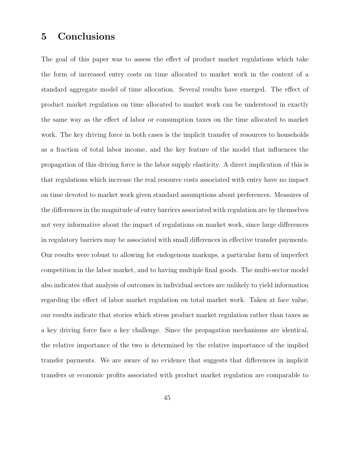# 5 Conclusions

The goal of this paper was to assess the effect of product market regulations which take the form of increased entry costs on time allocated to market work in the context of a standard aggregate model of time allocation. Several results have emerged. The effect of product market regulation on time allocated to market work can be understood in exactly the same way as the effect of labor or consumption taxes on the time allocated to market work. The key driving force in both cases is the implicit transfer of resources to households as a fraction of total labor income, and the key feature of the model that influences the propagation of this driving force is the labor supply elasticity. A direct implication of this is that regulations which increase the real resource costs associated with entry have no impact on time devoted to market work given standard assumptions about preferences. Measures of the differences in the magnitude of entry barriers associated with regulation are by themselves not very informative about the impact of regulations on market work, since large differences in regulatory barriers may be associated with small differences in effective transfer payments. Our results were robust to allowing for endogenous markups, a particular form of imperfect competition in the labor market, and to having multiple final goods. The multi-sector model also indicates that analysis of outcomes in individual sectors are unlikely to yield information regarding the effect of labor market regulation on total market work. Taken at face value, our results indicate that stories which stress product market regulation rather than taxes as a key driving force face a key challenge. Since the propagation mechanisms are identical, the relative importance of the two is determined by the relative importance of the implied transfer payments. We are aware of no evidence that suggests that differences in implicit transfers or economic profits associated with product market regulation are comparable to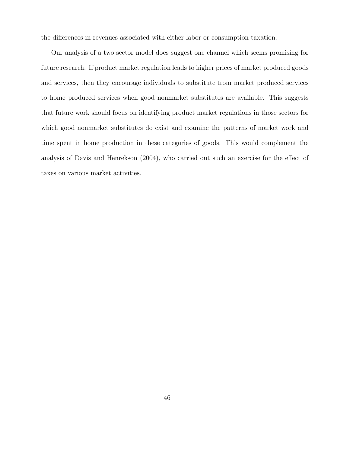the differences in revenues associated with either labor or consumption taxation.

Our analysis of a two sector model does suggest one channel which seems promising for future research. If product market regulation leads to higher prices of market produced goods and services, then they encourage individuals to substitute from market produced services to home produced services when good nonmarket substitutes are available. This suggests that future work should focus on identifying product market regulations in those sectors for which good nonmarket substitutes do exist and examine the patterns of market work and time spent in home production in these categories of goods. This would complement the analysis of Davis and Henrekson (2004), who carried out such an exercise for the effect of taxes on various market activities.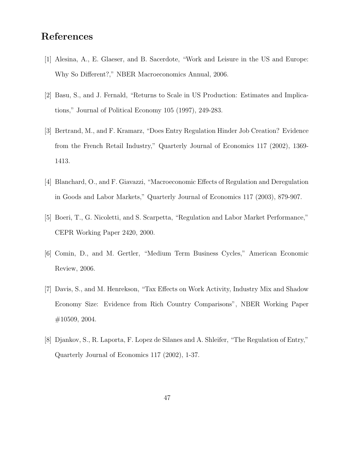# References

- [1] Alesina, A., E. Glaeser, and B. Sacerdote, "Work and Leisure in the US and Europe: Why So Different?," NBER Macroeconomics Annual, 2006.
- [2] Basu, S., and J. Fernald, "Returns to Scale in US Production: Estimates and Implications," Journal of Political Economy 105 (1997), 249-283.
- [3] Bertrand, M., and F. Kramarz, "Does Entry Regulation Hinder Job Creation? Evidence from the French Retail Industry," Quarterly Journal of Economics 117 (2002), 1369- 1413.
- [4] Blanchard, O., and F. Giavazzi, "Macroeconomic Effects of Regulation and Deregulation in Goods and Labor Markets," Quarterly Journal of Economics 117 (2003), 879-907.
- [5] Boeri, T., G. Nicoletti, and S. Scarpetta, "Regulation and Labor Market Performance," CEPR Working Paper 2420, 2000.
- [6] Comin, D., and M. Gertler, "Medium Term Business Cycles," American Economic Review, 2006.
- [7] Davis, S., and M. Henrekson, "Tax Effects on Work Activity, Industry Mix and Shadow Economy Size: Evidence from Rich Country Comparisons", NBER Working Paper #10509, 2004.
- [8] Djankov, S., R. Laporta, F. Lopez de Silanes and A. Shleifer, "The Regulation of Entry," Quarterly Journal of Economics 117 (2002), 1-37.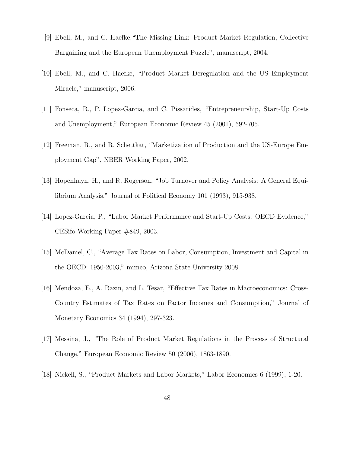- [9] Ebell, M., and C. Haefke,"The Missing Link: Product Market Regulation, Collective Bargaining and the European Unemployment Puzzle", manuscript, 2004.
- [10] Ebell, M., and C. Haefke, "Product Market Deregulation and the US Employment Miracle," manuscript, 2006.
- [11] Fonseca, R., P. Lopez-Garcia, and C. Pissarides, "Entrepreneurship, Start-Up Costs and Unemployment," European Economic Review 45 (2001), 692-705.
- [12] Freeman, R., and R. Schettkat, "Marketization of Production and the US-Europe Employment Gap", NBER Working Paper, 2002.
- [13] Hopenhayn, H., and R. Rogerson, "Job Turnover and Policy Analysis: A General Equilibrium Analysis," Journal of Political Economy 101 (1993), 915-938.
- [14] Lopez-Garcia, P., "Labor Market Performance and Start-Up Costs: OECD Evidence," CESifo Working Paper #849, 2003.
- [15] McDaniel, C., "Average Tax Rates on Labor, Consumption, Investment and Capital in the OECD: 1950-2003," mimeo, Arizona State University 2008.
- [16] Mendoza, E., A. Razin, and L. Tesar, "Effective Tax Rates in Macroeconomics: Cross-Country Estimates of Tax Rates on Factor Incomes and Consumption," Journal of Monetary Economics 34 (1994), 297-323.
- [17] Messina, J., "The Role of Product Market Regulations in the Process of Structural Change," European Economic Review 50 (2006), 1863-1890.
- [18] Nickell, S., "Product Markets and Labor Markets," Labor Economics 6 (1999), 1-20.